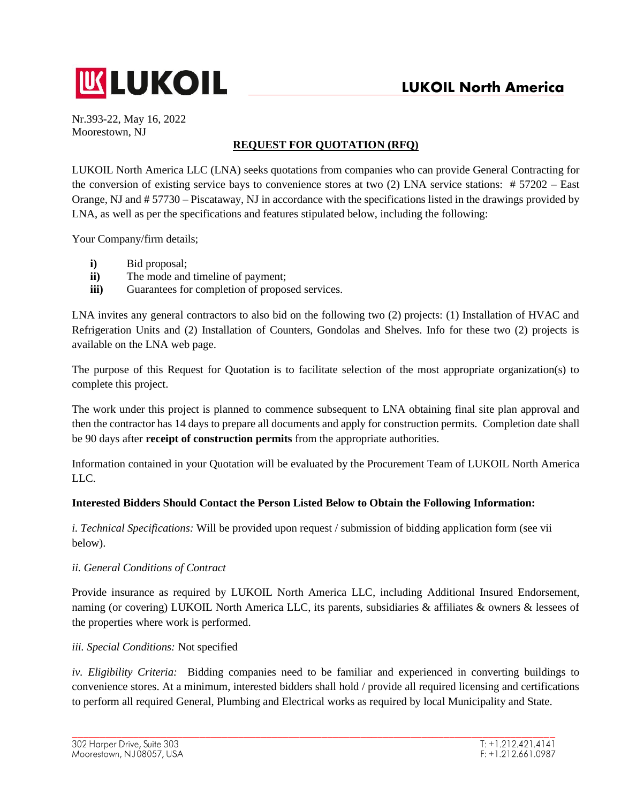

# **LUKOIL North America**

Nr.393-22, May 16, 2022 Moorestown, NJ

## **REQUEST FOR QUOTATION (RFQ)**

LUKOIL North America LLC (LNA) seeks quotations from companies who can provide General Contracting for the conversion of existing service bays to convenience stores at two (2) LNA service stations: # 57202 – East Orange, NJ and # 57730 – Piscataway, NJ in accordance with the specifications listed in the drawings provided by LNA, as well as per the specifications and features stipulated below, including the following:

Your Company/firm details;

- **i)** Bid proposal;
- **ii)** The mode and timeline of payment;
- **iii**) Guarantees for completion of proposed services.

LNA invites any general contractors to also bid on the following two (2) projects: (1) Installation of HVAC and Refrigeration Units and (2) Installation of Counters, Gondolas and Shelves. Info for these two (2) projects is available on the LNA web page.

The purpose of this Request for Quotation is to facilitate selection of the most appropriate organization(s) to complete this project.

The work under this project is planned to commence subsequent to LNA obtaining final site plan approval and then the contractor has 14 days to prepare all documents and apply for construction permits. Completion date shall be 90 days after **receipt of construction permits** from the appropriate authorities.

Information contained in your Quotation will be evaluated by the Procurement Team of LUKOIL North America LLC.

### **Interested Bidders Should Contact the Person Listed Below to Obtain the Following Information:**

*i. Technical Specifications:* Will be provided upon request / submission of bidding application form (see vii below).

### *ii. General Conditions of Contract*

Provide insurance as required by LUKOIL North America LLC, including Additional Insured Endorsement, naming (or covering) LUKOIL North America LLC, its parents, subsidiaries & affiliates & owners & lessees of the properties where work is performed.

### *iii. Special Conditions:* Not specified

*iv. Eligibility Criteria:* Bidding companies need to be familiar and experienced in converting buildings to convenience stores. At a minimum, interested bidders shall hold / provide all required licensing and certifications to perform all required General, Plumbing and Electrical works as required by local Municipality and State.